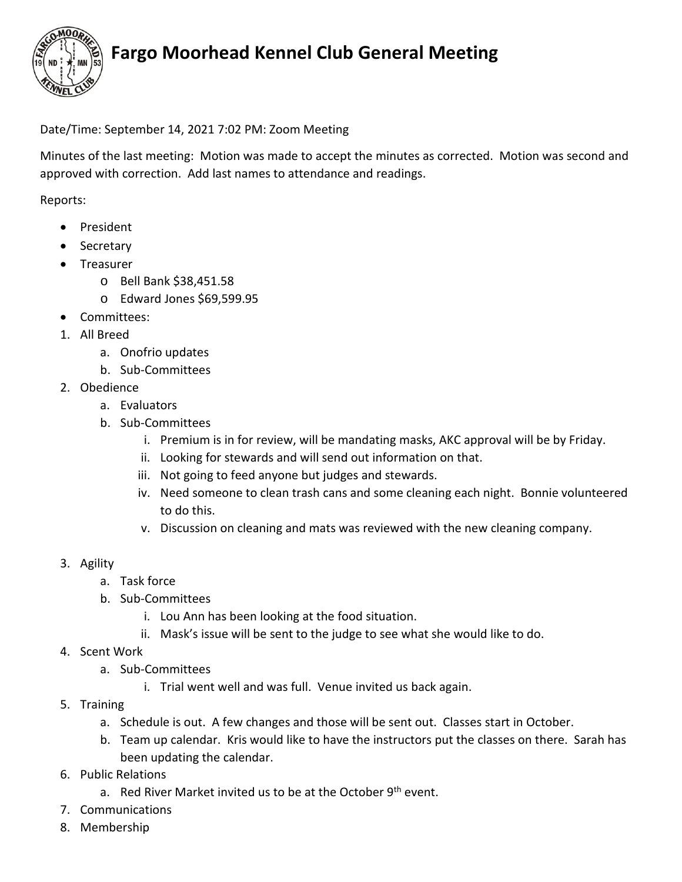

## **Fargo Moorhead Kennel Club General Meeting**

Date/Time: September 14, 2021 7:02 PM: Zoom Meeting

Minutes of the last meeting: Motion was made to accept the minutes as corrected. Motion was second and approved with correction. Add last names to attendance and readings.

Reports:

- President
- Secretary
- Treasurer
	- o Bell Bank \$38,451.58
	- o Edward Jones \$69,599.95
- Committees:
- 1. All Breed
	- a. Onofrio updates
	- b. Sub-Committees
- 2. Obedience
	- a. Evaluators
	- b. Sub-Committees
		- i. Premium is in for review, will be mandating masks, AKC approval will be by Friday.
		- ii. Looking for stewards and will send out information on that.
		- iii. Not going to feed anyone but judges and stewards.
		- iv. Need someone to clean trash cans and some cleaning each night. Bonnie volunteered to do this.
		- v. Discussion on cleaning and mats was reviewed with the new cleaning company.
- 3. Agility
	- a. Task force
	- b. Sub-Committees
		- i. Lou Ann has been looking at the food situation.
		- ii. Mask's issue will be sent to the judge to see what she would like to do.
- 4. Scent Work
	- a. Sub-Committees
		- i. Trial went well and was full. Venue invited us back again.
- 5. Training
	- a. Schedule is out. A few changes and those will be sent out. Classes start in October.
	- b. Team up calendar. Kris would like to have the instructors put the classes on there. Sarah has been updating the calendar.
- 6. Public Relations
	- a. Red River Market invited us to be at the October  $9<sup>th</sup>$  event.
- 7. Communications
- 8. Membership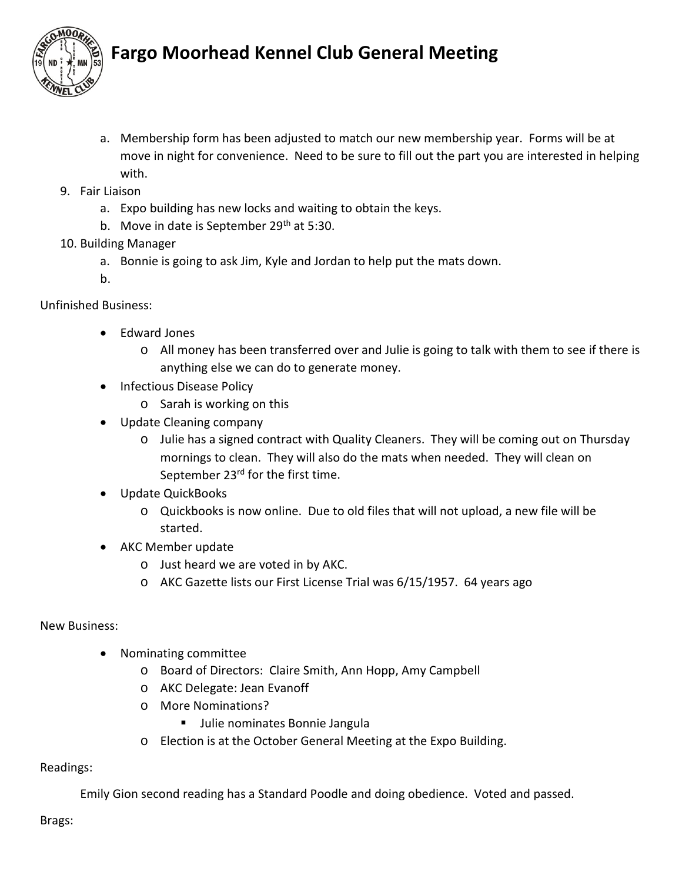

## **Fargo Moorhead Kennel Club General Meeting**

- a. Membership form has been adjusted to match our new membership year. Forms will be at move in night for convenience. Need to be sure to fill out the part you are interested in helping with.
- 9. Fair Liaison
	- a. Expo building has new locks and waiting to obtain the keys.
	- b. Move in date is September 29<sup>th</sup> at 5:30.

### 10. Building Manager

a. Bonnie is going to ask Jim, Kyle and Jordan to help put the mats down.

b.

### Unfinished Business:

- Edward Jones
	- o All money has been transferred over and Julie is going to talk with them to see if there is anything else we can do to generate money.
- Infectious Disease Policy
	- o Sarah is working on this
- Update Cleaning company
	- o Julie has a signed contract with Quality Cleaners. They will be coming out on Thursday mornings to clean. They will also do the mats when needed. They will clean on September 23<sup>rd</sup> for the first time.
- Update QuickBooks
	- o Quickbooks is now online. Due to old files that will not upload, a new file will be started.
- AKC Member update
	- o Just heard we are voted in by AKC.
	- o AKC Gazette lists our First License Trial was 6/15/1957. 64 years ago

### New Business:

- Nominating committee
	- o Board of Directors: Claire Smith, Ann Hopp, Amy Campbell
	- o AKC Delegate: Jean Evanoff
	- o More Nominations?
		- **Julie nominates Bonnie Jangula**
	- o Election is at the October General Meeting at the Expo Building.

#### Readings:

Emily Gion second reading has a Standard Poodle and doing obedience. Voted and passed.

Brags: